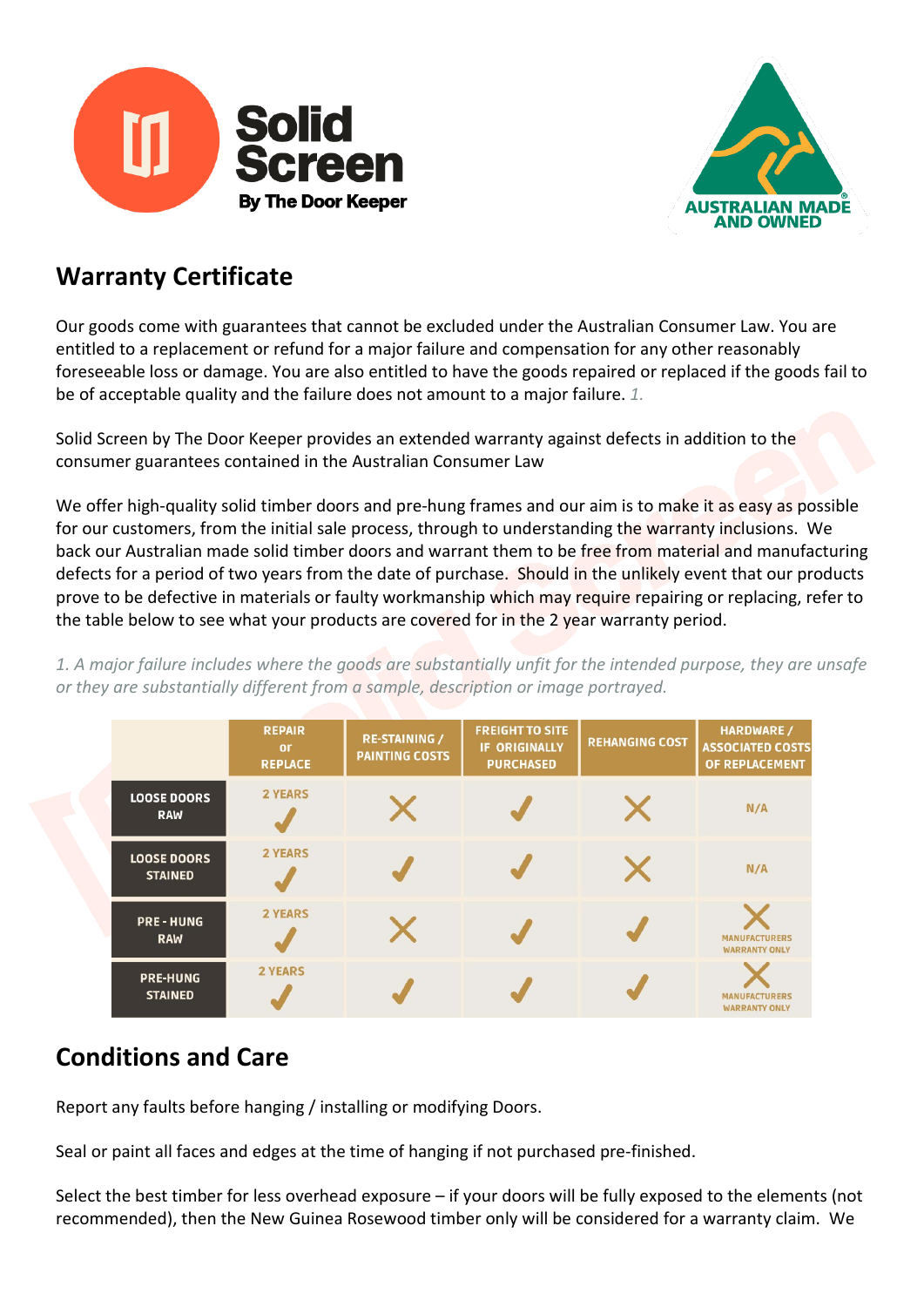



#### **Warranty Certificate**

Our goods come with guarantees that cannot be excluded under the Australian Consumer Law. You are entitled to a replacement or refund for a major failure and compensation for any other reasonably foreseeable loss or damage. You are also entitled to have the goods repaired or replaced if the goods fail to be of acceptable quality and the failure does not amount to a major failure. *1.*

Solid Screen by The Door Keeper provides an extended warranty against defects in addition to the consumer guarantees contained in the Australian Consumer Law

We offer high-quality solid timber doors and pre-hung frames and our aim is to make it as easy as possible for our customers, from the initial sale process, through to understanding the warranty inclusions. We back our Australian made solid timber doors and warrant them to be free from material and manufacturing defects for a period of two years from the date of purchase. Should in the unlikely event that our products prove to be defective in materials or faulty workmanship which may require repairing or replacing, refer to the table below to see what your products are covered for in the 2 year warranty period.

*1. A major failure includes where the goods are substantially unfit for the intended purpose, they are unsafe or they are substantially different from a sample, description or image portrayed.*

|  |                                      | <b>REPAIR</b><br>or<br><b>REPLACE</b> | <b>RE-STAINING /</b><br><b>PAINTING COSTS</b> | <b>FREIGHT TO SITE</b><br><b>IF ORIGINALLY</b><br><b>PURCHASED</b> | <b>REHANGING COST</b> | <b>HARDWARE /</b><br><b>ASSOCIATED COSTS</b><br>OF REPLACEMENT |
|--|--------------------------------------|---------------------------------------|-----------------------------------------------|--------------------------------------------------------------------|-----------------------|----------------------------------------------------------------|
|  | <b>LOOSE DOORS</b><br><b>RAW</b>     | <b>2 YEARS</b>                        |                                               |                                                                    |                       | N/A                                                            |
|  | <b>LOOSE DOORS</b><br><b>STAINED</b> | <b>2 YEARS</b>                        |                                               |                                                                    |                       | N/A                                                            |
|  | <b>PRE-HUNG</b><br><b>RAW</b>        | <b>2 YEARS</b>                        |                                               |                                                                    |                       | <b>MANUFACTURERS</b><br><b>WARRANTY ONLY</b>                   |
|  | <b>PRE-HUNG</b><br><b>STAINED</b>    | <b>2 YEARS</b>                        |                                               |                                                                    |                       | <b>MANUFACTURERS</b><br><b>WARRANTY ONLY</b>                   |

# **Conditions and Care**

Report any faults before hanging / installing or modifying Doors.

Seal or paint all faces and edges at the time of hanging if not purchased pre-finished.

Select the best timber for less overhead exposure – if your doors will be fully exposed to the elements (not recommended), then the New Guinea Rosewood timber only will be considered for a warranty claim. We